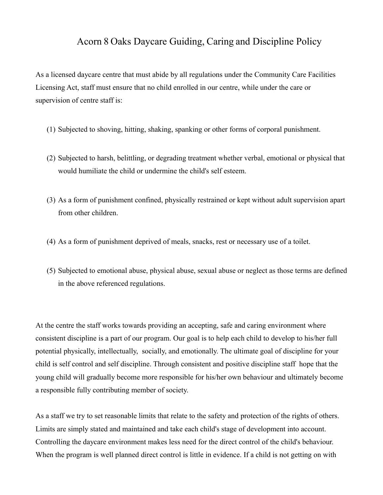## Acorn 8 Oaks Daycare Guiding, Caring and Discipline Policy

As a licensed daycare centre that must abide by all regulations under the Community Care Facilities Licensing Act, staff must ensure that no child enrolled in our centre, while under the care or supervision of centre staff is:

- (1) Subjected to shoving, hitting, shaking, spanking or other forms of corporal punishment.
- (2) Subjected to harsh, belittling, or degrading treatment whether verbal, emotional or physical that would humiliate the child or undermine the child's self esteem.
- (3) As a form of punishment confined, physically restrained or kept without adult supervision apart from other children.
- (4) As a form of punishment deprived of meals, snacks, rest or necessary use of a toilet.
- (5) Subjected to emotional abuse, physical abuse, sexual abuse or neglect as those terms are defined in the above referenced regulations.

At the centre the staff works towards providing an accepting, safe and caring environment where consistent discipline is a part of our program. Our goal is to help each child to develop to his/her full potential physically, intellectually, socially, and emotionally. The ultimate goal of discipline for your child is self control and self discipline. Through consistent and positive discipline staff hope that the young child will gradually become more responsible for his/her own behaviour and ultimately become a responsible fully contributing member of society.

As a staff we try to set reasonable limits that relate to the safety and protection of the rights of others. Limits are simply stated and maintained and take each child's stage of development into account. Controlling the daycare environment makes less need for the direct control of the child's behaviour. When the program is well planned direct control is little in evidence. If a child is not getting on with